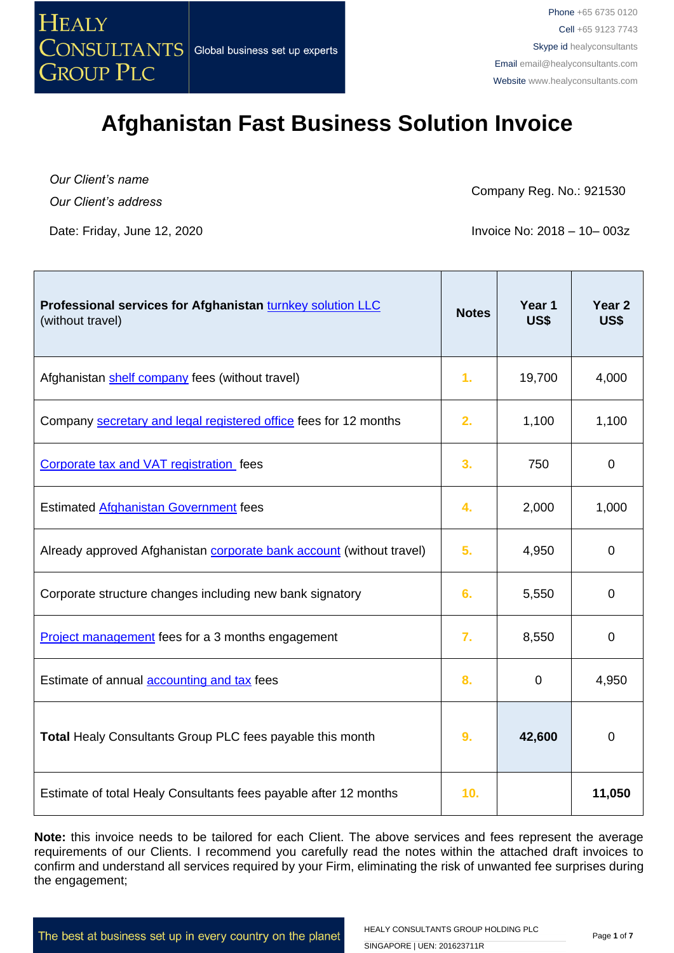

*Our Client's name Our Client's address*

Company Reg. No.: 921530

Date: Friday, June 12, 2020 **Invoice No: 2018** – 10 – 003z

| Professional services for Afghanistan turnkey solution LLC<br>(without travel) | <b>Notes</b> | Year 1<br>US\$ | Year 2<br>US\$ |
|--------------------------------------------------------------------------------|--------------|----------------|----------------|
| Afghanistan shelf company fees (without travel)                                | 1.           | 19,700         | 4,000          |
| Company secretary and legal registered office fees for 12 months               | 2.           | 1,100          | 1,100          |
| Corporate tax and VAT registration fees                                        | 3.           | 750            | $\mathbf 0$    |
| Estimated Afghanistan Government fees                                          | 4.           | 2,000          | 1,000          |
| Already approved Afghanistan corporate bank account (without travel)           | 5.           | 4,950          | $\mathbf 0$    |
| Corporate structure changes including new bank signatory                       | 6.           | 5,550          | $\overline{0}$ |
| Project management fees for a 3 months engagement                              | 7.           | 8,550          | $\mathbf 0$    |
| Estimate of annual <b>accounting and tax</b> fees                              | 8.           | 0              | 4,950          |
| Total Healy Consultants Group PLC fees payable this month                      | 9.           | 42,600         | $\pmb{0}$      |
| Estimate of total Healy Consultants fees payable after 12 months               | 10.          |                | 11,050         |

**Note:** this invoice needs to be tailored for each Client. The above services and fees represent the average requirements of our Clients. I recommend you carefully read the notes within the attached draft invoices to confirm and understand all services required by your Firm, eliminating the risk of unwanted fee surprises during the engagement;

The best at business set up in every country on the planet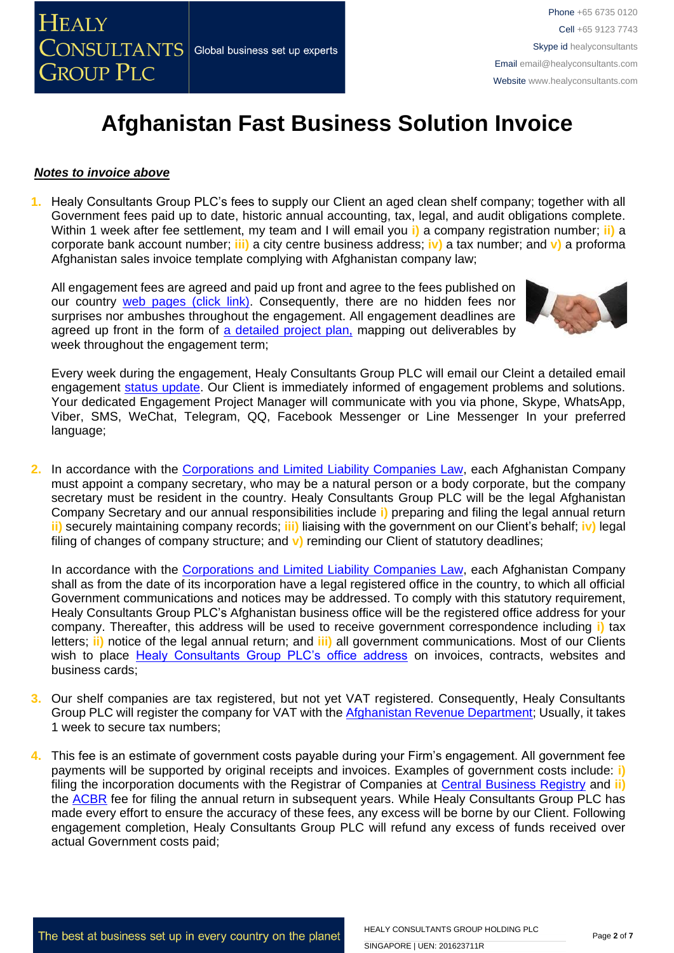### *Notes to invoice above*

**1.** Healy Consultants Group PLC's fees to supply our Client an aged clean shelf company; together with all Government fees paid up to date, historic annual accounting, tax, legal, and audit obligations complete. Within 1 week after fee settlement, my team and I will email you **i)** a company registration number; **ii)** a corporate bank account number; **iii)** a city centre business address; **iv)** a tax number; and **v)** a proforma Afghanistan sales invoice template complying with Afghanistan company law;

All engagement fees are agreed and paid up front and agree to the fees published on our country [web pages \(click link\).](http://www.healyconsultants.com/india-company-registration/turnkey-solutions/) Consequently, there are no hidden fees nor surprises nor ambushes throughout the engagement. All engagement deadlines are agreed up front in the form of [a detailed project plan,](http://www.healyconsultants.com/example-detailed-project-plan/) mapping out deliverables by week throughout the engagement term;



Every week during the engagement, Healy Consultants Group PLC will email our Cleint a detailed email engagement [status update.](http://www.healyconsultants.com/index-important-links/weekly-engagement-status-email/) Our Client is immediately informed of engagement problems and solutions. Your dedicated Engagement Project Manager will communicate with you via phone, Skype, WhatsApp, Viber, SMS, WeChat, Telegram, QQ, Facebook Messenger or Line Messenger In your preferred language;

**2.** In accordance with the [Corporations and Limited Liability Companies Law,](http://www.acbr.gov.af/laws.html) each Afghanistan Company must appoint a company secretary, who may be a natural person or a body corporate, but the company secretary must be resident in the country. Healy Consultants Group PLC will be the legal Afghanistan Company Secretary and our annual responsibilities include **i)** preparing and filing the legal annual return **ii)** securely maintaining company records; **iii)** liaising with the government on our Client's behalf; **iv)** legal filing of changes of company structure; and **v)** reminding our Client of statutory deadlines;

In accordance with the [Corporations and Limited Liability Companies Law,](http://www.acbr.gov.af/laws.html) each Afghanistan Company shall as from the date of its incorporation have a legal registered office in the country, to which all official Government communications and notices may be addressed. To comply with this statutory requirement, Healy Consultants Group PLC's Afghanistan business office will be the registered office address for your company. Thereafter, this address will be used to receive government correspondence including **i)** tax letters; **ii)** notice of the legal annual return; and **iii)** all government communications. Most of our Clients wish to place [Healy Consultants Group PLC's office address](http://www.healyconsultants.com/corporate-outsourcing-services/company-secretary-and-legal-registered-office/) on invoices, contracts, websites and business cards;

- **3.** Our shelf companies are tax registered, but not yet VAT registered. Consequently, Healy Consultants Group PLC will register the company for VAT with the [Afghanistan Revenue Department;](http://ard.gov.af/#home) Usually, it takes 1 week to secure tax numbers;
- **4.** This fee is an estimate of government costs payable during your Firm's engagement. All government fee payments will be supported by original receipts and invoices. Examples of government costs include: **i)** filing the incorporation documents with the Registrar of Companies at [Central Business Registry](http://www.acbr.gov.af/laws.html) and **ii)**  the [ACBR](http://www.acbr.gov.af/laws.html) fee for filing the annual return in subsequent years. While Healy Consultants Group PLC has made every effort to ensure the accuracy of these fees, any excess will be borne by our Client. Following engagement completion, Healy Consultants Group PLC will refund any excess of funds received over actual Government costs paid;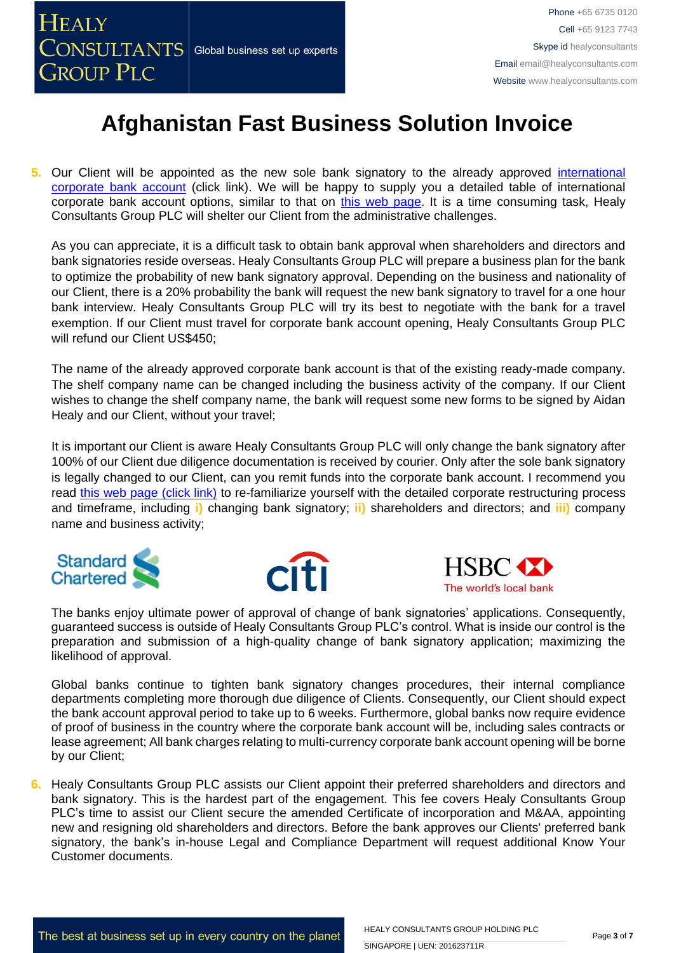**5.** Our Client will be appointed as the new sole bank signatory to the already approved [international](http://www.healyconsultants.com/international-banking/)  [corporate bank account](http://www.healyconsultants.com/international-banking/) (click link). We will be happy to supply you a detailed table of international corporate bank account options, similar to that on [this web page.](http://www.healyconsultants.com/international-banking/african-banking-options-no-travel/) It is a time consuming task, Healy Consultants Group PLC will shelter our Client from the administrative challenges.

As you can appreciate, it is a difficult task to obtain bank approval when shareholders and directors and bank signatories reside overseas. Healy Consultants Group PLC will prepare a business plan for the bank to optimize the probability of new bank signatory approval. Depending on the business and nationality of our Client, there is a 20% probability the bank will request the new bank signatory to travel for a one hour bank interview. Healy Consultants Group PLC will try its best to negotiate with the bank for a travel exemption. If our Client must travel for corporate bank account opening, Healy Consultants Group PLC will refund our Client US\$450;

The name of the already approved corporate bank account is that of the existing ready-made company. The shelf company name can be changed including the business activity of the company. If our Client wishes to change the shelf company name, the bank will request some new forms to be signed by Aidan Healy and our Client, without your travel;

It is important our Client is aware Healy Consultants Group PLC will only change the bank signatory after 100% of our Client due diligence documentation is received by courier. Only after the sole bank signatory is legally changed to our Client, can you remit funds into the corporate bank account. I recommend you read [this web page \(click link\)](http://www.healyconsultants.com/singapore-company-registration/turnkey-solutions/) to re-familiarize yourself with the detailed corporate restructuring process and timeframe, including **i)** changing bank signatory; **ii)** shareholders and directors; and **iii)** company name and business activity;







The banks enjoy ultimate power of approval of change of bank signatories' applications. Consequently, guaranteed success is outside of Healy Consultants Group PLC's control. What is inside our control is the preparation and submission of a high-quality change of bank signatory application; maximizing the likelihood of approval.

Global banks continue to tighten bank signatory changes procedures, their internal compliance departments completing more thorough due diligence of Clients. Consequently, our Client should expect the bank account approval period to take up to 6 weeks. Furthermore, global banks now require evidence of proof of business in the country where the corporate bank account will be, including sales contracts or lease agreement; All bank charges relating to multi-currency corporate bank account opening will be borne by our Client;

**6.** Healy Consultants Group PLC assists our Client appoint their preferred shareholders and directors and bank signatory. This is the hardest part of the engagement. This fee covers Healy Consultants Group PLC's time to assist our Client secure the amended Certificate of incorporation and M&AA, appointing new and resigning old shareholders and directors. Before the bank approves our Clients' preferred bank signatory, the bank's in-house Legal and Compliance Department will request additional Know Your Customer documents.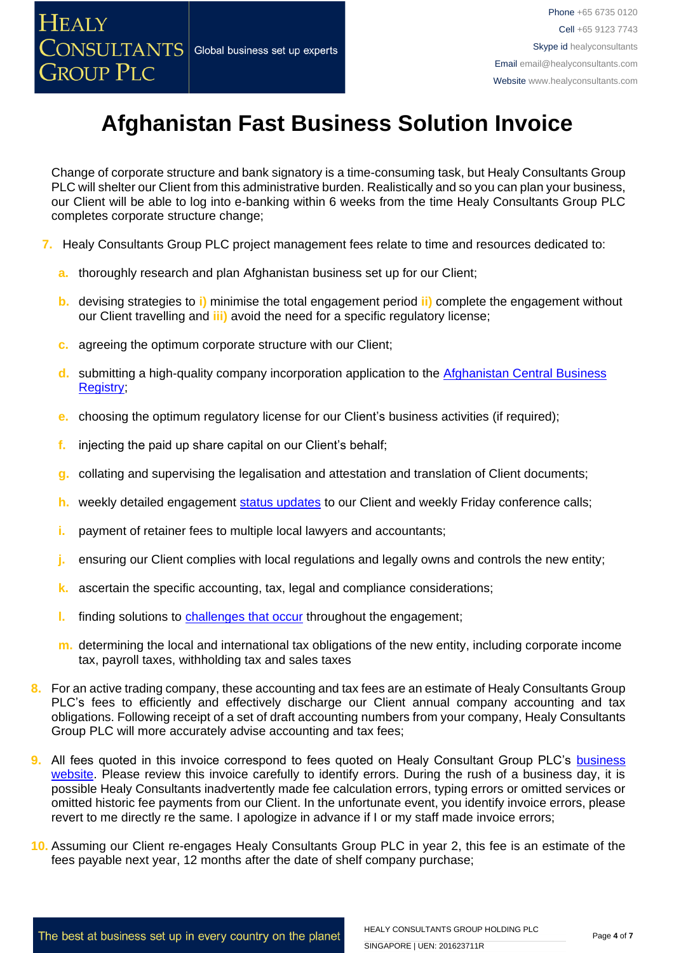Change of corporate structure and bank signatory is a time-consuming task, but Healy Consultants Group PLC will shelter our Client from this administrative burden. Realistically and so you can plan your business, our Client will be able to log into e-banking within 6 weeks from the time Healy Consultants Group PLC completes corporate structure change;

- **7.** Healy Consultants Group PLC project management fees relate to time and resources dedicated to:
	- **a.** thoroughly research and plan Afghanistan business set up for our Client;
	- **b.** devising strategies to **i)** minimise the total engagement period **ii)** complete the engagement without our Client travelling and **iii)** avoid the need for a specific regulatory license;
	- **c.** agreeing the optimum corporate structure with our Client;
	- **d.** submitting a high-quality company incorporation application to the [Afghanistan Central Business](http://www.acbr.gov.af/)  [Registry;](http://www.acbr.gov.af/)
	- **e.** choosing the optimum regulatory license for our Client's business activities (if required);
	- **f.** injecting the paid up share capital on our Client's behalf;
	- **g.** collating and supervising the legalisation and attestation and translation of Client documents;
	- **h.** weekly detailed engagement [status updates](http://www.healyconsultants.com/index-important-links/weekly-engagement-status-email/) to our Client and weekly Friday conference calls;
	- **i.** payment of retainer fees to multiple local lawyers and accountants;
	- **j.** ensuring our Client complies with local regulations and legally owns and controls the new entity;
	- **k.** ascertain the specific accounting, tax, legal and compliance considerations;
	- **l.** finding solutions to [challenges that occur](http://www.healyconsultants.com/engagement-project-management/) throughout the engagement;
	- **m.** determining the local and international tax obligations of the new entity, including corporate income tax, payroll taxes, withholding tax and sales taxes
- **8.** For an active trading company, these accounting and tax fees are an estimate of Healy Consultants Group PLC's fees to efficiently and effectively discharge our Client annual company accounting and tax obligations. Following receipt of a set of draft accounting numbers from your company, Healy Consultants Group PLC will more accurately advise accounting and tax fees;
- **9.** All fees quoted in this invoice correspond to fees quoted on Healy Consultant Group PLC's business [website.](http://www.healyconsultants.com/india-company-registration/) Please review this invoice carefully to identify errors. During the rush of a business day, it is possible Healy Consultants inadvertently made fee calculation errors, typing errors or omitted services or omitted historic fee payments from our Client. In the unfortunate event, you identify invoice errors, please revert to me directly re the same. I apologize in advance if I or my staff made invoice errors;
- **10.** Assuming our Client re-engages Healy Consultants Group PLC in year 2, this fee is an estimate of the fees payable next year, 12 months after the date of shelf company purchase;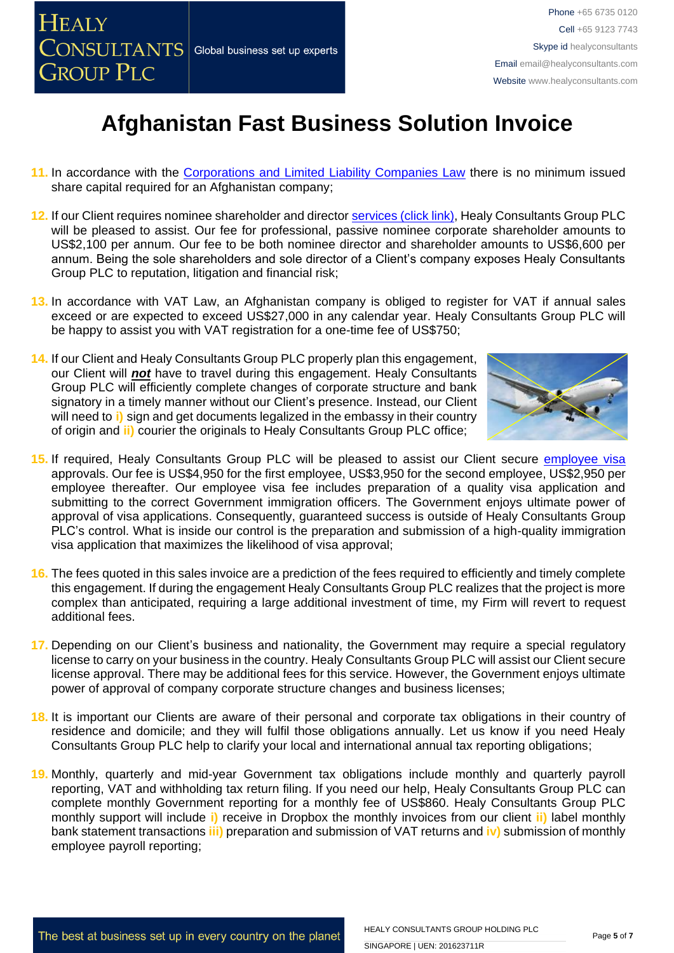- **11.** In accordance with the [Corporations and Limited Liability Companies Law](http://www.acbr.gov.af/laws.html) there is no minimum issued share capital required for an Afghanistan company;
- **12.** If our Client requires nominee shareholder and director [services \(click link\),](http://www.healyconsultants.com/corporate-outsourcing-services/nominee-shareholders-directors/) Healy Consultants Group PLC will be pleased to assist. Our fee for professional, passive nominee corporate [shareholder](http://www.healyconsultants.com/national-shareholder-services/) amounts to US\$2,100 per annum. Our fee to be both nominee director and shareholder amounts to US\$6,600 per annum. Being the sole shareholders and sole director of a Client's company exposes Healy Consultants Group PLC to reputation, litigation and financial risk;
- **13.** In accordance with [VAT](http://www.iras.gov.sg/irasHome/page03.aspx?id=648) Law, an Afghanistan company is obliged to register for VAT if annual sales exceed or are expected to exceed US\$27,000 in any calendar year. Healy Consultants Group PLC will be happy to assist you with VAT registration for a one-time fee of US\$750;
- **14.** If our Client and Healy Consultants Group PLC properly plan this engagement, our Client will *not* have to travel during this engagement. Healy Consultants Group PLC will efficiently complete changes of corporate structure and bank signatory in a timely manner without our Client's presence. Instead, our Client will need to **i)** sign and get documents legalized in the embassy in their country of origin and **ii)** courier the originals to Healy Consultants Group PLC office;



- **15.** If required, Healy Consultants Group PLC will be pleased to assist our Client secure [employee visa](http://www.healyconsultants.com/uk-company-registration/formation-support-services/) approvals. Our fee is US\$4,950 for the first employee, US\$3,950 for the second employee, US\$2,950 per employee thereafter. Our employee visa fee includes preparation of a quality visa application and submitting to the correct Government immigration officers. The Government enjoys ultimate power of approval of visa applications. Consequently, guaranteed success is outside of Healy Consultants Group PLC's control. What is inside our control is the preparation and submission of a high-quality immigration visa application that maximizes the likelihood of visa approval;
- **16.** The fees quoted in this sales invoice are a prediction of the fees required to efficiently and timely complete this engagement. If during the engagement Healy Consultants Group PLC realizes that the project is more complex than anticipated, requiring a large additional investment of time, my Firm will revert to request additional fees.
- **17.** Depending on our Client's business and nationality, the Government may require a special regulatory license to carry on your business in the country. Healy Consultants Group PLC will assist our Client secure license approval. There may be additional fees for this service. However, the Government enjoys ultimate power of approval of company corporate structure changes and business licenses;
- **18.** It is important our Clients are aware of their personal and corporate tax obligations in their country of residence and domicile; and they will fulfil those obligations annually. Let us know if you need Healy Consultants Group PLC help to clarify your local and international annual tax reporting obligations;
- **19.** Monthly, quarterly and mid-year Government tax obligations include monthly and quarterly payroll reporting, VAT and withholding tax return filing. If you need our help, Healy Consultants Group PLC can complete monthly Government reporting for a monthly fee of US\$860. Healy Consultants Group PLC monthly support will include **i)** receive in Dropbox the monthly invoices from our client **ii)** label monthly bank statement transactions **iii)** preparation and submission of VAT returns and **iv)** submission of monthly employee payroll reporting;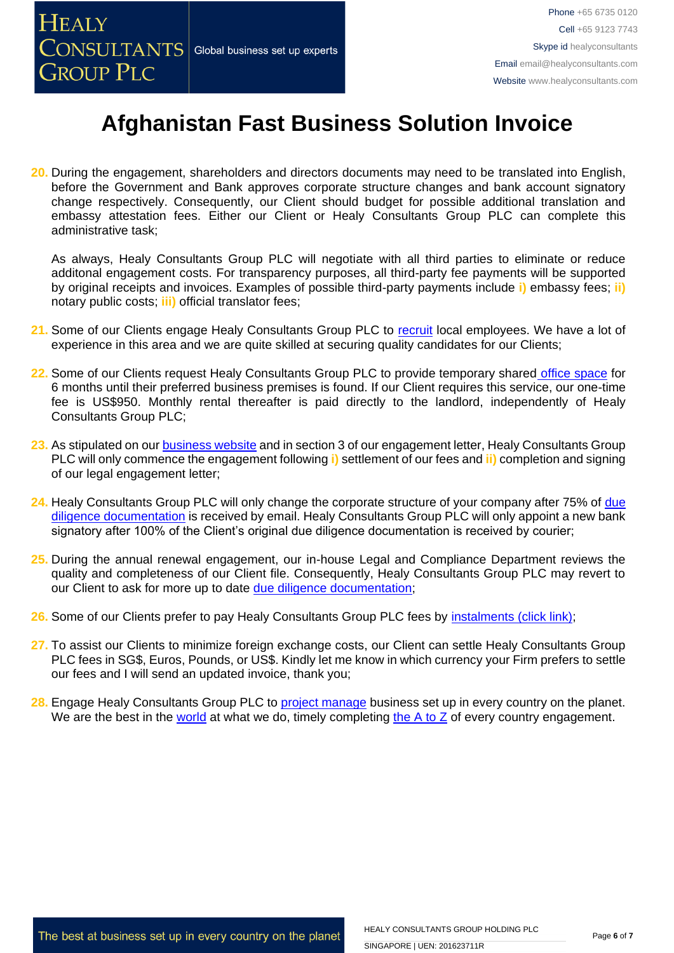**20.** During the engagement, shareholders and directors documents may need to be translated into English, before the Government and Bank approves corporate structure changes and bank account signatory change respectively. Consequently, our Client should budget for possible additional translation and embassy attestation fees. Either our Client or Healy Consultants Group PLC can complete this administrative task;

As always, Healy Consultants Group PLC will negotiate with all third parties to eliminate or reduce additonal engagement costs. For transparency purposes, all third-party fee payments will be supported by original receipts and invoices. Examples of possible third-party payments include **i)** embassy fees; **ii)** notary public costs; **iii)** official translator fees;

- **21.** Some of our Clients engage Healy Consultants Group PLC to [recruit](http://www.healyconsultants.com/corporate-outsourcing-services/how-we-help-our-clients-recruit-quality-employees/) local employees. We have a lot of experience in this area and we are quite skilled at securing quality candidates for our Clients;
- 22. Some of our Clients request Healy Consultants Group PLC to provide temporary shared [office space](http://www.healyconsultants.com/virtual-office/) for 6 months until their preferred business premises is found. If our Client requires this service, our one-time fee is US\$950. Monthly rental thereafter is paid directly to the landlord, independently of Healy Consultants Group PLC;
- **23.** As stipulated on ou[r business website](http://www.healyconsultants.com/) and in section 3 of our engagement letter, Healy Consultants Group PLC will only commence the engagement following **i)** settlement of our fees and **ii)** completion and signing of our legal engagement letter;
- **24.** Healy Consultants Group PLC will only change the corporate structure of your company after 75% of [due](http://www.healyconsultants.com/due-diligence/)  [diligence documentation](http://www.healyconsultants.com/due-diligence/) is received by email. Healy Consultants Group PLC will only appoint a new bank signatory after 100% of the Client's original due diligence documentation is received by courier;
- **25.** During the annual renewal engagement, our in-house Legal and Compliance Department reviews the quality and completeness of our Client file. Consequently, Healy Consultants Group PLC may revert to our Client to ask for more up to date [due diligence documentation;](http://www.healyconsultants.com/due-diligence/)
- **26.** Some of our Clients prefer to pay Healy Consultants Group PLC fees by [instalments \(click link\);](http://www.healyconsultants.com/payment-by-instalments/)
- **27.** To assist our Clients to minimize foreign exchange costs, our Client can settle Healy Consultants Group PLC fees in SG\$, Euros, Pounds, or US\$. Kindly let me know in which currency your Firm prefers to settle our fees and I will send an updated invoice, thank you;
- 28. Engage Healy Consultants Group PLC to [project manage](http://www.healyconsultants.com/project-manage-engagements/) business set up in every country on the planet. We are the best in the [world](http://www.healyconsultants.com/best-in-the-world/) at what we do, timely completing [the A to Z](http://www.healyconsultants.com/a-to-z-of-business-set-up/) of every country engagement.